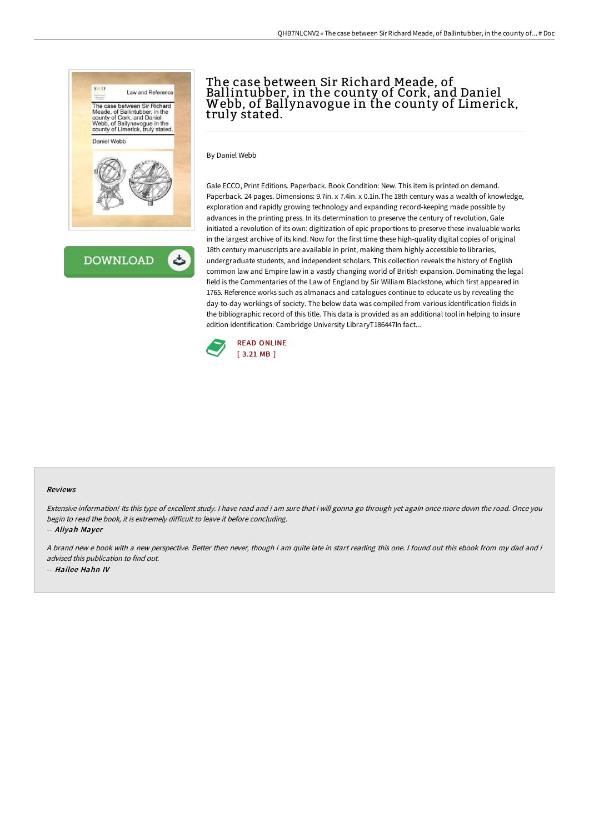

# The case between Sir Richard Meade, of Ballintubber, in the county of Cork, and Daniel Webb, of Ballynavogue in the county of Limerick, truly stated.

By Daniel Webb

Gale ECCO, Print Editions. Paperback. Book Condition: New. This item is printed on demand. Paperback. 24 pages. Dimensions: 9.7in. x 7.4in. x 0.1in.The 18th century was a wealth of knowledge, exploration and rapidly growing technology and expanding record-keeping made possible by advances in the printing press. In its determination to preserve the century of revolution, Gale initiated a revolution of its own: digitization of epic proportions to preserve these invaluable works in the largest archive of its kind. Now for the first time these high-quality digital copies of original 18th century manuscripts are available in print, making them highly accessible to libraries, undergraduate students, and independent scholars. This collection reveals the history of English common law and Empire law in a vastly changing world of British expansion. Dominating the legal field is the Commentaries of the Law of England by Sir William Blackstone, which first appeared in 1765. Reference works such as almanacs and catalogues continue to educate us by revealing the day-to-day workings of society. The below data was compiled from various identification fields in the bibliographic record of this title. This data is provided as an additional tool in helping to insure edition identification: Cambridge University LibraryT186447In fact...



#### Reviews

Extensive information! Its this type of excellent study. <sup>I</sup> have read and i am sure that i will gonna go through yet again once more down the road. Once you begin to read the book, it is extremely difficult to leave it before concluding. -- Aliyah Mayer

<sup>A</sup> brand new <sup>e</sup> book with <sup>a</sup> new perspective. Better then never, though i am quite late in start reading this one. <sup>I</sup> found out this ebook from my dad and i advised this publication to find out. -- Hailee Hahn IV